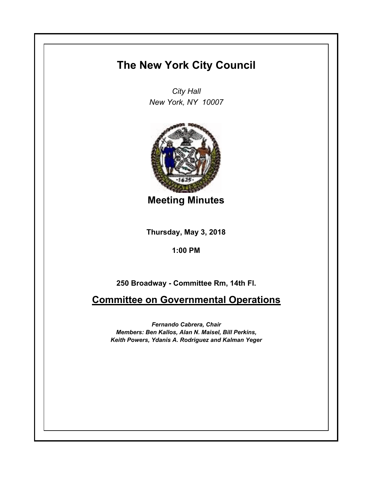## **The New York City Council**

*City Hall New York, NY 10007*



**Meeting Minutes**

**Thursday, May 3, 2018**

**1:00 PM**

**250 Broadway - Committee Rm, 14th Fl.**

**Committee on Governmental Operations**

*Fernando Cabrera, Chair Members: Ben Kallos, Alan N. Maisel, Bill Perkins, Keith Powers, Ydanis A. Rodriguez and Kalman Yeger*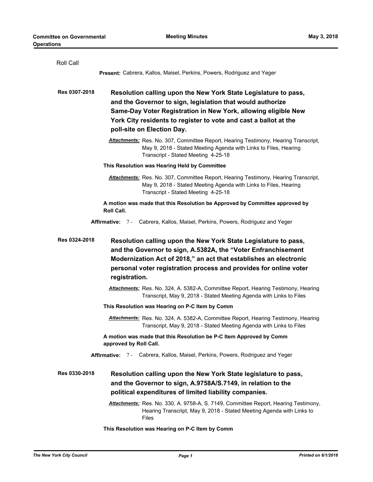| Roll Call     |                                                                                                                                                                                                                                                                                                   |
|---------------|---------------------------------------------------------------------------------------------------------------------------------------------------------------------------------------------------------------------------------------------------------------------------------------------------|
|               | Present: Cabrera, Kallos, Maisel, Perkins, Powers, Rodriguez and Yeger                                                                                                                                                                                                                            |
| Res 0307-2018 | Resolution calling upon the New York State Legislature to pass,<br>and the Governor to sign, legislation that would authorize<br>Same-Day Voter Registration in New York, allowing eligible New<br>York City residents to register to vote and cast a ballot at the<br>poll-site on Election Day. |
|               | <b>Attachments:</b> Res. No. 307, Committee Report, Hearing Testimony, Hearing Transcript,<br>May 9, 2018 - Stated Meeting Agenda with Links to Files, Hearing<br>Transcript - Stated Meeting 4-25-18                                                                                             |
|               | This Resolution was Hearing Held by Committee                                                                                                                                                                                                                                                     |
|               | Attachments: Res. No. 307, Committee Report, Hearing Testimony, Hearing Transcript,<br>May 9, 2018 - Stated Meeting Agenda with Links to Files, Hearing<br>Transcript - Stated Meeting 4-25-18                                                                                                    |
|               | A motion was made that this Resolution be Approved by Committee approved by<br><b>Roll Call.</b>                                                                                                                                                                                                  |
|               | Affirmative: 7 - Cabrera, Kallos, Maisel, Perkins, Powers, Rodriguez and Yeger                                                                                                                                                                                                                    |
| Res 0324-2018 | Resolution calling upon the New York State Legislature to pass,<br>and the Governor to sign, A.5382A, the "Voter Enfranchisement<br>Modernization Act of 2018," an act that establishes an electronic<br>personal voter registration process and provides for online voter<br>registration.       |
|               | <b>Attachments:</b> Res. No. 324, A. 5382-A, Committee Report, Hearing Testimony, Hearing<br>Transcript, May 9, 2018 - Stated Meeting Agenda with Links to Files                                                                                                                                  |
|               | This Resolution was Hearing on P-C Item by Comm                                                                                                                                                                                                                                                   |
|               | Attachments: Res. No. 324, A. 5382-A, Committee Report, Hearing Testimony, Hearing<br>Transcript, May 9, 2018 - Stated Meeting Agenda with Links to Files                                                                                                                                         |
|               | A motion was made that this Resolution be P-C Item Approved by Comm<br>approved by Roll Call.                                                                                                                                                                                                     |
|               | Affirmative: 7 - Cabrera, Kallos, Maisel, Perkins, Powers, Rodriguez and Yeger                                                                                                                                                                                                                    |
| Res 0330-2018 | Resolution calling upon the New York State legislature to pass,<br>and the Governor to sign, A.9758A/S.7149, in relation to the<br>political expenditures of limited liability companies.<br>Attachments: Res. No. 330, A. 9758-A, S. 7149, Committee Report, Hearing Testimony,                  |
|               | Hearing Transcript, May 9, 2018 - Stated Meeting Agenda with Links to<br>Files                                                                                                                                                                                                                    |

**This Resolution was Hearing on P-C Item by Comm**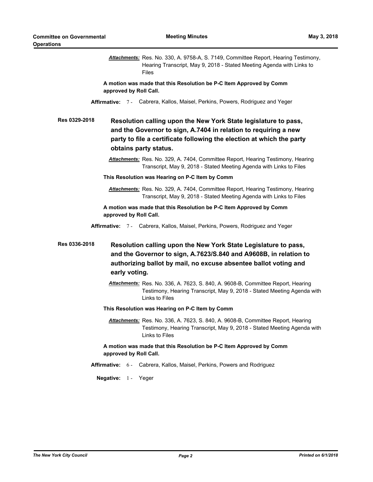|                                                                                               | Attachments: Res. No. 330, A. 9758-A, S. 7149, Committee Report, Hearing Testimony,<br>Hearing Transcript, May 9, 2018 - Stated Meeting Agenda with Links to<br><b>Files</b>                                                         |  |  |
|-----------------------------------------------------------------------------------------------|--------------------------------------------------------------------------------------------------------------------------------------------------------------------------------------------------------------------------------------|--|--|
| approved by Roll Call.                                                                        | A motion was made that this Resolution be P-C Item Approved by Comm                                                                                                                                                                  |  |  |
|                                                                                               | Affirmative: 7 - Cabrera, Kallos, Maisel, Perkins, Powers, Rodriguez and Yeger                                                                                                                                                       |  |  |
| Res 0329-2018                                                                                 | Resolution calling upon the New York State legislature to pass,<br>and the Governor to sign, A.7404 in relation to requiring a new<br>party to file a certificate following the election at which the party<br>obtains party status. |  |  |
|                                                                                               | <b>Attachments:</b> Res. No. 329, A. 7404, Committee Report, Hearing Testimony, Hearing<br>Transcript, May 9, 2018 - Stated Meeting Agenda with Links to Files                                                                       |  |  |
|                                                                                               | This Resolution was Hearing on P-C Item by Comm                                                                                                                                                                                      |  |  |
|                                                                                               | Attachments: Res. No. 329, A. 7404, Committee Report, Hearing Testimony, Hearing<br>Transcript, May 9, 2018 - Stated Meeting Agenda with Links to Files                                                                              |  |  |
| approved by Roll Call.                                                                        | A motion was made that this Resolution be P-C Item Approved by Comm                                                                                                                                                                  |  |  |
|                                                                                               | Affirmative: 7 - Cabrera, Kallos, Maisel, Perkins, Powers, Rodriguez and Yeger                                                                                                                                                       |  |  |
| Res 0336-2018<br>early voting.                                                                | Resolution calling upon the New York State Legislature to pass,<br>and the Governor to sign, A.7623/S.840 and A9608B, in relation to<br>authorizing ballot by mail, no excuse absentee ballot voting and                             |  |  |
|                                                                                               | Attachments: Res. No. 336, A. 7623, S. 840, A. 9608-B, Committee Report, Hearing<br>Testimony, Hearing Transcript, May 9, 2018 - Stated Meeting Agenda with<br>Links to Files                                                        |  |  |
| This Resolution was Hearing on P-C Item by Comm                                               |                                                                                                                                                                                                                                      |  |  |
|                                                                                               | Attachments: Res. No. 336, A. 7623, S. 840, A. 9608-B, Committee Report, Hearing<br>Testimony, Hearing Transcript, May 9, 2018 - Stated Meeting Agenda with<br>Links to Files                                                        |  |  |
| A motion was made that this Resolution be P-C Item Approved by Comm<br>approved by Roll Call. |                                                                                                                                                                                                                                      |  |  |
|                                                                                               | <b>Affirmative:</b> 6 - Cabrera, Kallos, Maisel, Perkins, Powers and Rodriguez                                                                                                                                                       |  |  |
| Negative: 1 - Yeger                                                                           |                                                                                                                                                                                                                                      |  |  |